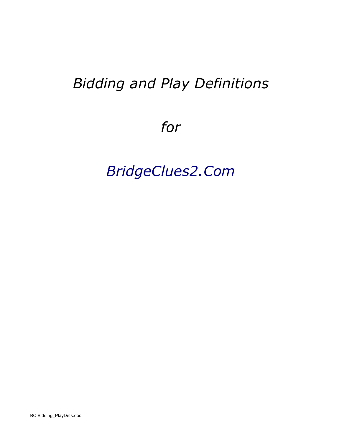# *Bidding and Play Definitions*

*for*

# *BridgeClues2.Com*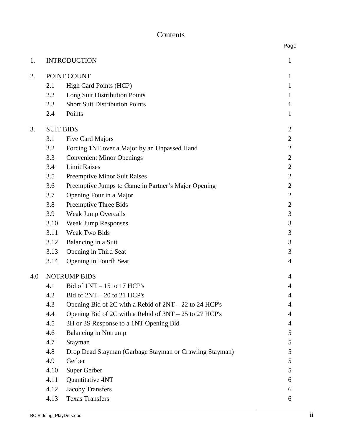# Contents

| 1.  |                     | <b>INTRODUCTION</b>                                      | 1              |
|-----|---------------------|----------------------------------------------------------|----------------|
| 2.  | POINT COUNT         |                                                          |                |
|     | 2.1                 | High Card Points (HCP)                                   | $\bf{l}$<br>1  |
|     | 2.2                 | Long Suit Distribution Points                            | 1              |
|     | 2.3                 | <b>Short Suit Distribution Points</b>                    | 1              |
|     | 2.4                 | Points                                                   | 1              |
| 3.  | <b>SUIT BIDS</b>    |                                                          | $\overline{2}$ |
|     | 3.1                 | Five Card Majors                                         | $\overline{2}$ |
|     | 3.2                 | Forcing 1NT over a Major by an Unpassed Hand             | $\overline{2}$ |
|     | 3.3                 | <b>Convenient Minor Openings</b>                         | $\mathbf{2}$   |
|     | 3.4                 | <b>Limit Raises</b>                                      | $\overline{2}$ |
|     | 3.5                 | <b>Preemptive Minor Suit Raises</b>                      | 2              |
|     | 3.6                 | Preemptive Jumps to Game in Partner's Major Opening      | $\overline{2}$ |
|     | 3.7                 | Opening Four in a Major                                  | $\overline{2}$ |
|     | 3.8                 | Preemptive Three Bids                                    | $\mathbf{2}$   |
|     | 3.9                 | <b>Weak Jump Overcalls</b>                               | 3              |
|     | 3.10                | <b>Weak Jump Responses</b>                               | 3              |
|     | 3.11                | <b>Weak Two Bids</b>                                     | 3              |
|     | 3.12                | Balancing in a Suit                                      | 3              |
|     | 3.13                | Opening in Third Seat                                    | 3              |
|     | 3.14                | Opening in Fourth Seat                                   | 4              |
| 4.0 | <b>NOTRUMP BIDS</b> |                                                          |                |
|     | 4.1                 | Bid of $1NT - 15$ to 17 HCP's                            | 4              |
|     | 4.2                 | Bid of $2NT - 20$ to 21 HCP's                            | 4              |
|     | 4.3                 | Opening Bid of 2C with a Rebid of $2NT - 22$ to 24 HCP's | $\overline{4}$ |
|     | 4.4                 | Opening Bid of 2C with a Rebid of $3NT - 25$ to 27 HCP's | 4              |
|     | 4.5                 | 3H or 3S Response to a 1NT Opening Bid                   | 4              |
|     | 4.6                 | <b>Balancing in Notrump</b>                              | 5              |
|     | 4.7                 | Stayman                                                  | 5              |
|     | 4.8                 | Drop Dead Stayman (Garbage Stayman or Crawling Stayman)  | 5              |
|     | 4.9                 | Gerber                                                   | 5              |
|     | 4.10                | Super Gerber                                             | 5              |
|     | 4.11                | Quantitative 4NT                                         | 6              |
|     | 4.12                | <b>Jacoby Transfers</b>                                  | 6              |
|     | 4.13                | <b>Texas Transfers</b>                                   | 6              |

Page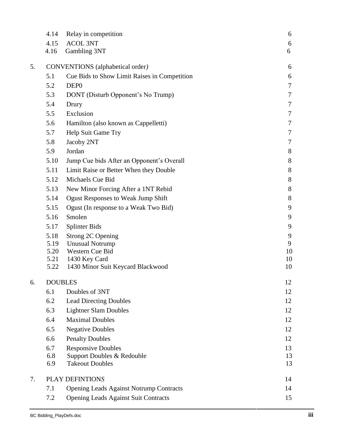| 4.14            | Relay in competition                           | 6                                                                                                                                                                |
|-----------------|------------------------------------------------|------------------------------------------------------------------------------------------------------------------------------------------------------------------|
| 4.15            | <b>ACOL 3NT</b>                                | 6                                                                                                                                                                |
| 4.16            | Gambling 3NT                                   | 6                                                                                                                                                                |
|                 | 6                                              |                                                                                                                                                                  |
| 5.1             | Cue Bids to Show Limit Raises in Competition   | 6                                                                                                                                                                |
| 5.2             | DEP <sub>0</sub>                               | $\tau$                                                                                                                                                           |
| 5.3             | DONT (Disturb Opponent's No Trump)             | $\tau$                                                                                                                                                           |
| 5.4             | Drury                                          | $\tau$                                                                                                                                                           |
| 5.5             | Exclusion                                      | 7                                                                                                                                                                |
| 5.6             | Hamilton (also known as Cappelletti)           | $\tau$                                                                                                                                                           |
| 5.7             | Help Suit Game Try                             | 7                                                                                                                                                                |
| 5.8             | Jacoby 2NT                                     | 7                                                                                                                                                                |
| 5.9             | Jordan                                         | 8                                                                                                                                                                |
| 5.10            | Jump Cue bids After an Opponent's Overall      | 8                                                                                                                                                                |
| 5.11            | Limit Raise or Better When they Double         | 8                                                                                                                                                                |
| 5.12            | Michaels Cue Bid                               | 8                                                                                                                                                                |
| 5.13            | New Minor Forcing After a 1NT Rebid            | 8                                                                                                                                                                |
| 5.14            | <b>Ogust Responses to Weak Jump Shift</b>      | 8                                                                                                                                                                |
| 5.15            | Ogust (In response to a Weak Two Bid)          | 9                                                                                                                                                                |
| 5.16            | Smolen                                         | 9                                                                                                                                                                |
| 5.17            | <b>Splinter Bids</b>                           | 9                                                                                                                                                                |
| 5.18            | Strong 2C Opening                              | 9                                                                                                                                                                |
| 5.19            | <b>Unusual Notrump</b>                         | 9                                                                                                                                                                |
|                 |                                                | 10<br>10                                                                                                                                                         |
| 5.22            | 1430 Minor Suit Keycard Blackwood              | 10                                                                                                                                                               |
|                 |                                                | 12                                                                                                                                                               |
| 6.1             | Doubles of 3NT                                 | 12                                                                                                                                                               |
| 6.2             |                                                | 12                                                                                                                                                               |
| 6.3             | <b>Lightner Slam Doubles</b>                   | 12                                                                                                                                                               |
| 6.4             | <b>Maximal Doubles</b>                         | 12                                                                                                                                                               |
| 6.5             | <b>Negative Doubles</b>                        | 12                                                                                                                                                               |
| 6.6             | <b>Penalty Doubles</b>                         | 12                                                                                                                                                               |
| 6.7             | <b>Responsive Doubles</b>                      | 13                                                                                                                                                               |
| 6.8             | Support Doubles & Redouble                     | 13                                                                                                                                                               |
|                 |                                                | 13                                                                                                                                                               |
| PLAY DEFINTIONS |                                                |                                                                                                                                                                  |
| 7.1             | <b>Opening Leads Against Notrump Contracts</b> | 14                                                                                                                                                               |
| 7.2             | <b>Opening Leads Against Suit Contracts</b>    | 15                                                                                                                                                               |
|                 | 5.20<br>6.9                                    | <b>CONVENTIONS</b> (alphabetical order)<br>Western Cue Bid<br>5.21<br>1430 Key Card<br><b>DOUBLES</b><br><b>Lead Directing Doubles</b><br><b>Takeout Doubles</b> |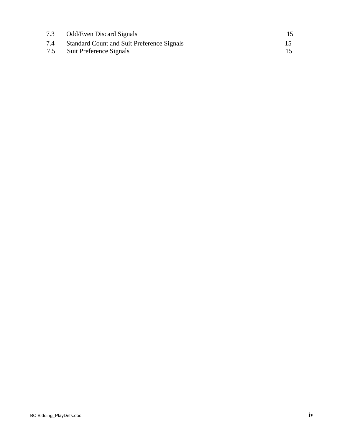| <b>Odd/Even Discard Signals</b>                   |  |
|---------------------------------------------------|--|
| <b>Standard Count and Suit Preference Signals</b> |  |
| Suit Preference Signals                           |  |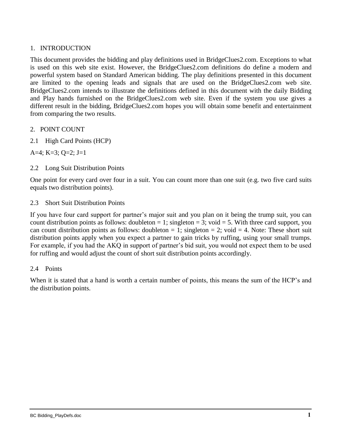## 1. INTRODUCTION

This document provides the bidding and play definitions used in BridgeClues2.com. Exceptions to what is used on this web site exist. However, the BridgeClues2.com definitions do define a modern and powerful system based on Standard American bidding. The play definitions presented in this document are limited to the opening leads and signals that are used on the BridgeClues2.com web site. BridgeClues2.com intends to illustrate the definitions defined in this document with the daily Bidding and Play hands furnished on the BridgeClues2.com web site. Even if the system you use gives a different result in the bidding, BridgeClues2.com hopes you will obtain some benefit and entertainment from comparing the two results.

- 2. POINT COUNT
- 2.1 High Card Points (HCP)

A=4; K=3; Q=2; J=1

2.2 Long Suit Distribution Points

One point for every card over four in a suit. You can count more than one suit (e.g. two five card suits equals two distribution points).

2.3 Short Suit Distribution Points

If you have four card support for partner's major suit and you plan on it being the trump suit, you can count distribution points as follows: doubleton  $= 1$ ; singleton  $= 3$ ; void  $= 5$ . With three card support, you can count distribution points as follows: doubleton  $= 1$ ; singleton  $= 2$ ; void  $= 4$ . Note: These short suit distribution points apply when you expect a partner to gain tricks by ruffing, using your small trumps. For example, if you had the AKQ in support of partner's bid suit, you would not expect them to be used for ruffing and would adjust the count of short suit distribution points accordingly.

#### 2.4 Points

When it is stated that a hand is worth a certain number of points, this means the sum of the HCP's and the distribution points.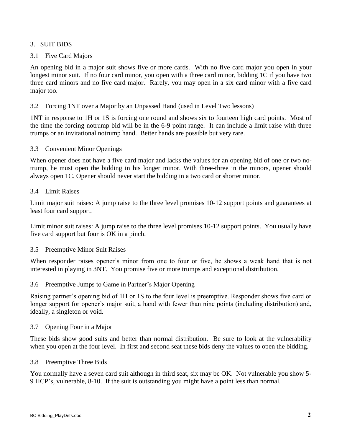## 3. SUIT BIDS

## 3.1 Five Card Majors

An opening bid in a major suit shows five or more cards. With no five card major you open in your longest minor suit. If no four card minor, you open with a three card minor, bidding 1C if you have two three card minors and no five card major. Rarely, you may open in a six card minor with a five card major too.

## 3.2 Forcing 1NT over a Major by an Unpassed Hand (used in Level Two lessons)

1NT in response to 1H or 1S is forcing one round and shows six to fourteen high card points. Most of the time the forcing notrump bid will be in the 6-9 point range. It can include a limit raise with three trumps or an invitational notrump hand. Better hands are possible but very rare.

#### 3.3 Convenient Minor Openings

When opener does not have a five card major and lacks the values for an opening bid of one or two notrump, he must open the bidding in his longer minor. With three-three in the minors, opener should always open 1C. Opener should never start the bidding in a two card or shorter minor.

#### 3.4 Limit Raises

Limit major suit raises: A jump raise to the three level promises 10-12 support points and guarantees at least four card support.

Limit minor suit raises: A jump raise to the three level promises 10-12 support points. You usually have five card support but four is OK in a pinch.

#### 3.5 Preemptive Minor Suit Raises

When responder raises opener's minor from one to four or five, he shows a weak hand that is not interested in playing in 3NT. You promise five or more trumps and exceptional distribution.

#### 3.6 Preemptive Jumps to Game in Partner's Major Opening

Raising partner's opening bid of 1H or 1S to the four level is preemptive. Responder shows five card or longer support for opener's major suit, a hand with fewer than nine points (including distribution) and, ideally, a singleton or void.

#### 3.7 Opening Four in a Major

These bids show good suits and better than normal distribution. Be sure to look at the vulnerability when you open at the four level. In first and second seat these bids deny the values to open the bidding.

#### 3.8 Preemptive Three Bids

You normally have a seven card suit although in third seat, six may be OK. Not vulnerable you show 5- 9 HCP's, vulnerable, 8-10. If the suit is outstanding you might have a point less than normal.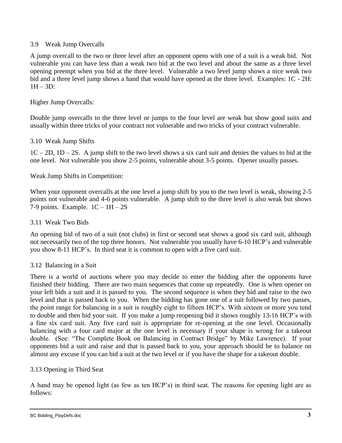## 3.9 Weak Jump Overcalls

A jump overcall to the two or three level after an opponent opens with one of a suit is a weak bid. Not vulnerable you can have less than a weak two bid at the two level and about the same as a three level opening preempt when you bid at the three level. Vulnerable a two level jump shows a nice weak two bid and a three level jump shows a hand that would have opened at the three level. Examples: 1C - 2H:  $1H - 3D$ :

#### Higher Jump Overcalls:

Double jump overcalls to the three level or jumps to the four level are weak but show good suits and usually within three tricks of your contract not vulnerable and two tricks of your contract vulnerable.

#### 3.10 Weak Jump Shifts

 $1C - 2D$ ,  $1D - 2S$ . A jump shift to the two level shows a six card suit and denies the values to bid at the one level. Not vulnerable you show 2-5 points, vulnerable about 3-5 points. Opener usually passes.

#### Weak Jump Shifts in Competition:

When your opponent overcalls at the one level a jump shift by you to the two level is weak, showing 2-5 points not vulnerable and 4-6 points vulnerable. A jump shift to the three level is also weak but shows 7-9 points. Example.  $1C - 1H - 2S$ 

#### 3.11 Weak Two Bids

An opening bid of two of a suit (not clubs) in first or second seat shows a good six card suit, although not necessarily two of the top three honors. Not vulnerable you usually have 6-10 HCP's and vulnerable you show 8-11 HCP's. In third seat it is common to open with a five card suit.

#### 3.12 Balancing in a Suit

There is a world of auctions where you may decide to enter the bidding after the opponents have finished their bidding. There are two main sequences that come up repeatedly. One is when opener on your left bids a suit and it is passed to you. The second sequence is when they bid and raise to the two level and that is passed back to you. When the bidding has gone one of a suit followed by two passes, the point range for balancing in a suit is roughly eight to fifteen HCP's. With sixteen or more you tend to double and then bid your suit. If you make a jump reopening bid it shows roughly 13-16 HCP's with a fine six card suit. Any five card suit is appropriate for re-opening at the one level. Occasionally balancing with a four card major at the one level is necessary if your shape is wrong for a takeout double. (See: "The Complete Book on Balancing in Contract Bridge" by Mike Lawrence). If your opponents bid a suit and raise and that is passed back to you, your approach should be to balance on almost any excuse if you can bid a suit at the two level or if you have the shape for a takeout double.

#### 3.13 Opening in Third Seat

A hand may be opened light (as few as ten HCP's) in third seat. The reasons for opening light are as follows: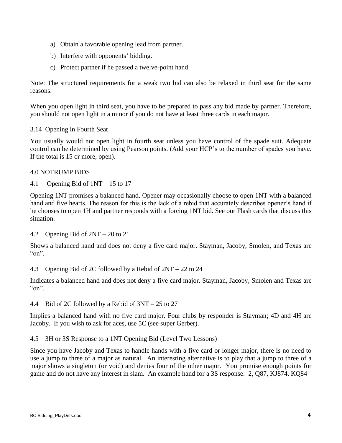- a) Obtain a favorable opening lead from partner.
- b) Interfere with opponents' bidding.
- c) Protect partner if he passed a twelve-point hand.

Note: The structured requirements for a weak two bid can also be relaxed in third seat for the same reasons.

When you open light in third seat, you have to be prepared to pass any bid made by partner. Therefore, you should not open light in a minor if you do not have at least three cards in each major.

## 3.14 Opening in Fourth Seat

You usually would not open light in fourth seat unless you have control of the spade suit. Adequate control can be determined by using Pearson points. (Add your HCP's to the number of spades you have. If the total is 15 or more, open).

#### 4.0 NOTRUMP BIDS

4.1 Opening Bid of 1NT – 15 to 17

Opening 1NT promises a balanced hand. Opener may occasionally choose to open 1NT with a balanced hand and five hearts. The reason for this is the lack of a rebid that accurately describes opener's hand if he chooses to open 1H and partner responds with a forcing 1NT bid. See our Flash cards that discuss this situation.

#### 4.2 Opening Bid of 2NT – 20 to 21

Shows a balanced hand and does not deny a five card major. Stayman, Jacoby, Smolen, and Texas are  $\lq$  on".

4.3 Opening Bid of 2C followed by a Rebid of 2NT – 22 to 24

Indicates a balanced hand and does not deny a five card major. Stayman, Jacoby, Smolen and Texas are  $\degree$  on".

#### 4.4 Bid of 2C followed by a Rebid of 3NT – 25 to 27

Implies a balanced hand with no five card major. Four clubs by responder is Stayman; 4D and 4H are Jacoby. If you wish to ask for aces, use 5C (see super Gerber).

4.5 3H or 3S Response to a 1NT Opening Bid (Level Two Lessons)

Since you have Jacoby and Texas to handle hands with a five card or longer major, there is no need to use a jump to three of a major as natural. An interesting alternative is to play that a jump to three of a major shows a singleton (or void) and denies four of the other major. You promise enough points for game and do not have any interest in slam. An example hand for a 3S response: 2, Q87, KJ874, KQ84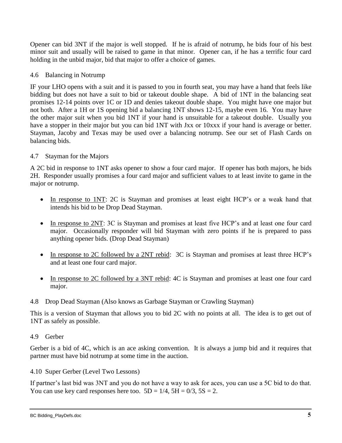Opener can bid 3NT if the major is well stopped. If he is afraid of notrump, he bids four of his best minor suit and usually will be raised to game in that minor. Opener can, if he has a terrific four card holding in the unbid major, bid that major to offer a choice of games.

## 4.6 Balancing in Notrump

IF your LHO opens with a suit and it is passed to you in fourth seat, you may have a hand that feels like bidding but does not have a suit to bid or takeout double shape. A bid of 1NT in the balancing seat promises 12-14 points over 1C or 1D and denies takeout double shape. You might have one major but not both. After a 1H or 1S opening bid a balancing 1NT shows 12-15, maybe even 16. You may have the other major suit when you bid 1NT if your hand is unsuitable for a takeout double. Usually you have a stopper in their major but you can bid 1NT with Jxx or 10xxx if your hand is average or better. Stayman, Jacoby and Texas may be used over a balancing notrump. See our set of Flash Cards on balancing bids.

## 4.7 Stayman for the Majors

A 2C bid in response to 1NT asks opener to show a four card major. If opener has both majors, he bids 2H. Responder usually promises a four card major and sufficient values to at least invite to game in the major or notrump.

- In response to 1NT: 2C is Stayman and promises at least eight HCP's or a weak hand that intends his bid to be Drop Dead Stayman.
- In response to 2NT: 3C is Stayman and promises at least five HCP's and at least one four card major. Occasionally responder will bid Stayman with zero points if he is prepared to pass anything opener bids. (Drop Dead Stayman)
- In response to 2C followed by a 2NT rebid: 3C is Stayman and promises at least three HCP's and at least one four card major.
- In response to 2C followed by a 3NT rebid: 4C is Stayman and promises at least one four card major.
- 4.8 Drop Dead Stayman (Also knows as Garbage Stayman or Crawling Stayman)

This is a version of Stayman that allows you to bid 2C with no points at all. The idea is to get out of 1NT as safely as possible.

## 4.9 Gerber

Gerber is a bid of 4C, which is an ace asking convention. It is always a jump bid and it requires that partner must have bid notrump at some time in the auction.

## 4.10 Super Gerber (Level Two Lessons)

If partner's last bid was 3NT and you do not have a way to ask for aces, you can use a 5C bid to do that. You can use key card responses here too.  $5D = 1/4$ ,  $5H = 0/3$ ,  $5S = 2$ .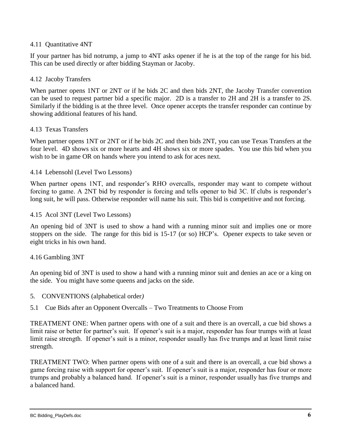## 4.11 Quantitative 4NT

If your partner has bid notrump, a jump to 4NT asks opener if he is at the top of the range for his bid. This can be used directly or after bidding Stayman or Jacoby.

## 4.12 Jacoby Transfers

When partner opens 1NT or 2NT or if he bids 2C and then bids 2NT, the Jacoby Transfer convention can be used to request partner bid a specific major. 2D is a transfer to 2H and 2H is a transfer to 2S. Similarly if the bidding is at the three level. Once opener accepts the transfer responder can continue by showing additional features of his hand.

## 4.13 Texas Transfers

When partner opens 1NT or 2NT or if he bids 2C and then bids 2NT, you can use Texas Transfers at the four level. 4D shows six or more hearts and 4H shows six or more spades. You use this bid when you wish to be in game OR on hands where you intend to ask for aces next.

## 4.14 Lebensohl (Level Two Lessons)

When partner opens 1NT, and responder's RHO overcalls, responder may want to compete without forcing to game. A 2NT bid by responder is forcing and tells opener to bid 3C. If clubs is responder's long suit, he will pass. Otherwise responder will name his suit. This bid is competitive and not forcing.

## 4.15 Acol 3NT (Level Two Lessons)

An opening bid of 3NT is used to show a hand with a running minor suit and implies one or more stoppers on the side. The range for this bid is 15-17 (or so) HCP's. Opener expects to take seven or eight tricks in his own hand.

## 4.16 Gambling 3NT

An opening bid of 3NT is used to show a hand with a running minor suit and denies an ace or a king on the side. You might have some queens and jacks on the side.

- 5. CONVENTIONS (alphabetical order*)*
- 5.1 Cue Bids after an Opponent Overcalls Two Treatments to Choose From

TREATMENT ONE: When partner opens with one of a suit and there is an overcall, a cue bid shows a limit raise or better for partner's suit. If opener's suit is a major, responder has four trumps with at least limit raise strength. If opener's suit is a minor, responder usually has five trumps and at least limit raise strength.

TREATMENT TWO: When partner opens with one of a suit and there is an overcall, a cue bid shows a game forcing raise with support for opener's suit. If opener's suit is a major, responder has four or more trumps and probably a balanced hand. If opener's suit is a minor, responder usually has five trumps and a balanced hand.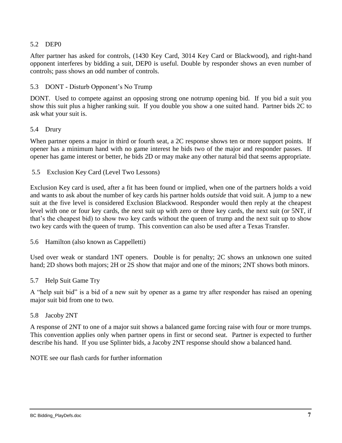## 5.2 DEP0

After partner has asked for controls, (1430 Key Card, 3014 Key Card or Blackwood), and right-hand opponent interferes by bidding a suit, DEP0 is useful. Double by responder shows an even number of controls; pass shows an odd number of controls.

#### 5.3 DONT - Disturb Opponent's No Trump

DONT. Used to compete against an opposing strong one notrump opening bid. If you bid a suit you show this suit plus a higher ranking suit. If you double you show a one suited hand. Partner bids 2C to ask what your suit is.

#### 5.4 Drury

When partner opens a major in third or fourth seat, a 2C response shows ten or more support points. If opener has a minimum hand with no game interest he bids two of the major and responder passes. If opener has game interest or better, he bids 2D or may make any other natural bid that seems appropriate.

#### 5.5 Exclusion Key Card (Level Two Lessons)

Exclusion Key card is used, after a fit has been found or implied, when one of the partners holds a void and wants to ask about the number of key cards his partner holds *outside* that void suit. A jump to a new suit at the five level is considered Exclusion Blackwood. Responder would then reply at the cheapest level with one or four key cards, the next suit up with zero or three key cards, the next suit (or 5NT, if that's the cheapest bid) to show two key cards without the queen of trump and the next suit up to show two key cards with the queen of trump. This convention can also be used after a Texas Transfer.

## 5.6 Hamilton (also known as Cappelletti)

Used over weak or standard 1NT openers. Double is for penalty; 2C shows an unknown one suited hand; 2D shows both majors; 2H or 2S show that major and one of the minors; 2NT shows both minors.

#### 5.7 Help Suit Game Try

A "help suit bid" is a bid of a new suit by opener as a game try after responder has raised an opening major suit bid from one to two.

#### 5.8 Jacoby 2NT

A response of 2NT to one of a major suit shows a balanced game forcing raise with four or more trumps. This convention applies only when partner opens in first or second seat. Partner is expected to further describe his hand. If you use Splinter bids, a Jacoby 2NT response should show a balanced hand.

NOTE see our flash cards for further information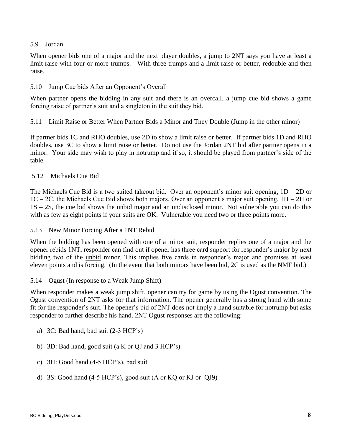## 5.9 Jordan

When opener bids one of a major and the next player doubles, a jump to 2NT says you have at least a limit raise with four or more trumps. With three trumps and a limit raise or better, redouble and then raise.

## 5.10 Jump Cue bids After an Opponent's Overall

When partner opens the bidding in any suit and there is an overcall, a jump cue bid shows a game forcing raise of partner's suit and a singleton in the suit they bid.

5.11 Limit Raise or Better When Partner Bids a Minor and They Double (Jump in the other minor)

If partner bids 1C and RHO doubles, use 2D to show a limit raise or better. If partner bids 1D and RHO doubles, use 3C to show a limit raise or better. Do not use the Jordan 2NT bid after partner opens in a minor. Your side may wish to play in notrump and if so, it should be played from partner's side of the table.

## 5.12 Michaels Cue Bid

The Michaels Cue Bid is a two suited takeout bid. Over an opponent's minor suit opening,  $1D - 2D$  or  $1C - 2C$ , the Michaels Cue Bid shows both majors. Over an opponent's major suit opening,  $1H - 2H$  or 1S – 2S, the cue bid shows the unbid major and an undisclosed minor. Not vulnerable you can do this with as few as eight points if your suits are OK. Vulnerable you need two or three points more.

#### 5.13 New Minor Forcing After a 1NT Rebid

When the bidding has been opened with one of a minor suit, responder replies one of a major and the opener rebids 1NT, responder can find out if opener has three card support for responder's major by next bidding two of the unbid minor. This implies five cards in responder's major and promises at least eleven points and is forcing. (In the event that both minors have been bid, 2C is used as the NMF bid.)

#### 5.14 Ogust (In response to a Weak Jump Shift)

When responder makes a weak jump shift, opener can try for game by using the Ogust convention. The Ogust convention of 2NT asks for that information. The opener generally has a strong hand with some fit for the responder's suit. The opener's bid of 2NT does not imply a hand suitable for notrump but asks responder to further describe his hand. 2NT Ogust responses are the following:

- a) 3C: Bad hand, bad suit (2-3 HCP's)
- b) 3D: Bad hand, good suit (a K or QJ and 3 HCP's)
- c) 3H: Good hand (4-5 HCP's), bad suit
- d) 3S: Good hand (4-5 HCP's), good suit (A or KQ or KJ or QJ9)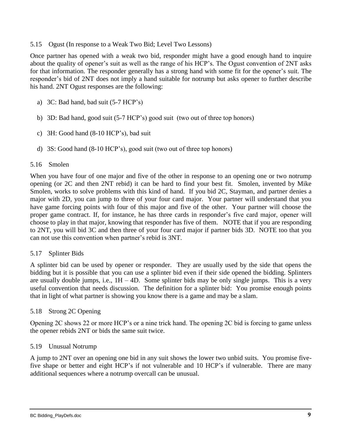#### 5.15 Ogust (In response to a Weak Two Bid; Level Two Lessons)

Once partner has opened with a weak two bid, responder might have a good enough hand to inquire about the quality of opener's suit as well as the range of his HCP's. The Ogust convention of 2NT asks for that information. The responder generally has a strong hand with some fit for the opener's suit. The responder's bid of 2NT does not imply a hand suitable for notrump but asks opener to further describe his hand. 2NT Ogust responses are the following:

- a) 3C: Bad hand, bad suit (5-7 HCP's)
- b) 3D: Bad hand, good suit (5-7 HCP's) good suit (two out of three top honors)
- c) 3H: Good hand (8-10 HCP's), bad suit
- d) 3S: Good hand (8-10 HCP's), good suit (two out of three top honors)

## 5.16 Smolen

When you have four of one major and five of the other in response to an opening one or two notrump opening (or 2C and then 2NT rebid) it can be hard to find your best fit. Smolen, invented by Mike Smolen, works to solve problems with this kind of hand. If you bid 2C, Stayman, and partner denies a major with 2D, you can jump to three of your four card major. Your partner will understand that you have game forcing points with four of this major and five of the other. Your partner will choose the proper game contract. If, for instance, he has three cards in responder's five card major, opener will choose to play in that major, knowing that responder has five of them. NOTE that if you are responding to 2NT, you will bid 3C and then three of your four card major if partner bids 3D. NOTE too that you can not use this convention when partner's rebid is 3NT.

## 5.17 Splinter Bids

A splinter bid can be used by opener or responder. They are usually used by the side that opens the bidding but it is possible that you can use a splinter bid even if their side opened the bidding. Splinters are usually double jumps, i.e.,  $1H - 4D$ . Some splinter bids may be only single jumps. This is a very useful convention that needs discussion. The definition for a splinter bid: You promise enough points that in light of what partner is showing you know there is a game and may be a slam.

## 5.18 Strong 2C Opening

Opening 2C shows 22 or more HCP's or a nine trick hand. The opening 2C bid is forcing to game unless the opener rebids 2NT or bids the same suit twice.

## 5.19 Unusual Notrump

A jump to 2NT over an opening one bid in any suit shows the lower two unbid suits. You promise fivefive shape or better and eight HCP's if not vulnerable and 10 HCP's if vulnerable. There are many additional sequences where a notrump overcall can be unusual.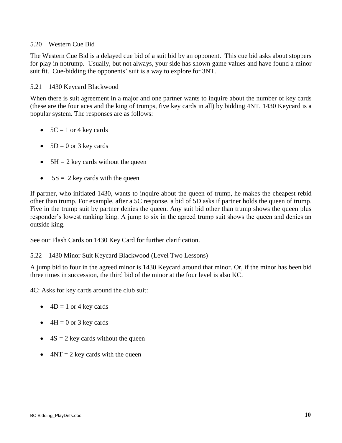## 5.20 Western Cue Bid

The Western Cue Bid is a delayed cue bid of a suit bid by an opponent. This cue bid asks about stoppers for play in notrump. Usually, but not always, your side has shown game values and have found a minor suit fit. Cue-bidding the opponents' suit is a way to explore for 3NT.

#### 5.21 1430 Keycard Blackwood

When there is suit agreement in a major and one partner wants to inquire about the number of key cards (these are the four aces and the king of trumps, five key cards in all) by bidding 4NT, 1430 Keycard is a popular system. The responses are as follows:

- $\bullet$  5C = 1 or 4 key cards
- $\bullet$  5D = 0 or 3 key cards
- $5H = 2$  key cards without the queen
- $\bullet$  5S = 2 key cards with the queen

If partner, who initiated 1430, wants to inquire about the queen of trump, he makes the cheapest rebid other than trump. For example, after a 5C response, a bid of 5D asks if partner holds the queen of trump. Five in the trump suit by partner denies the queen. Any suit bid other than trump shows the queen plus responder's lowest ranking king. A jump to six in the agreed trump suit shows the queen and denies an outside king.

See our Flash Cards on 1430 Key Card for further clarification.

#### 5.22 1430 Minor Suit Keycard Blackwood (Level Two Lessons)

A jump bid to four in the agreed minor is 1430 Keycard around that minor. Or, if the minor has been bid three times in succession, the third bid of the minor at the four level is also KC.

4C: Asks for key cards around the club suit:

- $\bullet$  4D = 1 or 4 key cards
- $\bullet$  4H = 0 or 3 key cards
- $\bullet$  4S = 2 key cards without the queen
- $\bullet$  4NT = 2 key cards with the queen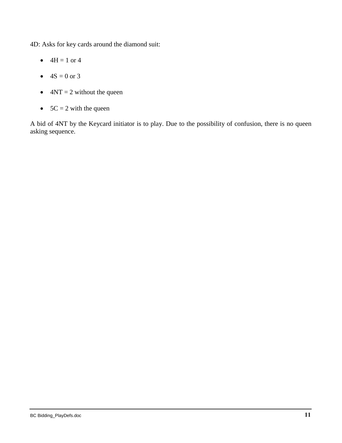4D: Asks for key cards around the diamond suit:

- $4H = 1$  or 4
- $4S = 0$  or 3
- $\bullet$  4NT = 2 without the queen
- $5C = 2$  with the queen

A bid of 4NT by the Keycard initiator is to play. Due to the possibility of confusion, there is no queen asking sequence.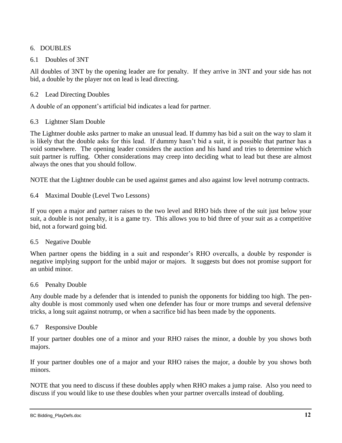## 6. DOUBLES

## 6.1 Doubles of 3NT

All doubles of 3NT by the opening leader are for penalty. If they arrive in 3NT and your side has not bid, a double by the player not on lead is lead directing.

## 6.2 Lead Directing Doubles

A double of an opponent's artificial bid indicates a lead for partner.

## 6.3 Lightner Slam Double

The Lightner double asks partner to make an unusual lead. If dummy has bid a suit on the way to slam it is likely that the double asks for this lead. If dummy hasn't bid a suit, it is possible that partner has a void somewhere. The opening leader considers the auction and his hand and tries to determine which suit partner is ruffing. Other considerations may creep into deciding what to lead but these are almost always the ones that you should follow.

NOTE that the Lightner double can be used against games and also against low level notrump contracts.

6.4 Maximal Double (Level Two Lessons)

If you open a major and partner raises to the two level and RHO bids three of the suit just below your suit, a double is not penalty, it is a game try. This allows you to bid three of your suit as a competitive bid, not a forward going bid.

## 6.5 Negative Double

When partner opens the bidding in a suit and responder's RHO overcalls, a double by responder is negative implying support for the unbid major or majors. It suggests but does not promise support for an unbid minor.

## 6.6 Penalty Double

Any double made by a defender that is intended to punish the opponents for bidding too high. The penalty double is most commonly used when one defender has four or more trumps and several defensive tricks, a long suit against notrump, or when a sacrifice bid has been made by the opponents.

## 6.7 Responsive Double

If your partner doubles one of a minor and your RHO raises the minor, a double by you shows both majors.

If your partner doubles one of a major and your RHO raises the major, a double by you shows both minors.

NOTE that you need to discuss if these doubles apply when RHO makes a jump raise. Also you need to discuss if you would like to use these doubles when your partner overcalls instead of doubling.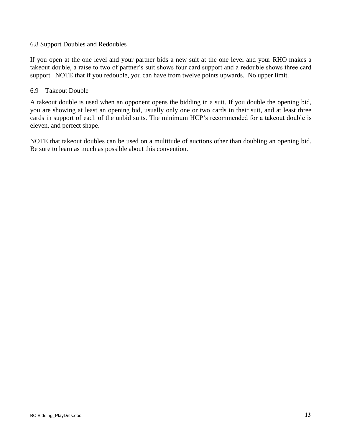#### 6.8 Support Doubles and Redoubles

If you open at the one level and your partner bids a new suit at the one level and your RHO makes a takeout double, a raise to two of partner's suit shows four card support and a redouble shows three card support. NOTE that if you redouble, you can have from twelve points upwards. No upper limit.

#### 6.9 Takeout Double

A takeout double is used when an opponent opens the bidding in a suit. If you double the opening bid, you are showing at least an opening bid, usually only one or two cards in their suit, and at least three cards in support of each of the unbid suits. The minimum HCP's recommended for a takeout double is eleven, and perfect shape.

NOTE that takeout doubles can be used on a multitude of auctions other than doubling an opening bid. Be sure to learn as much as possible about this convention.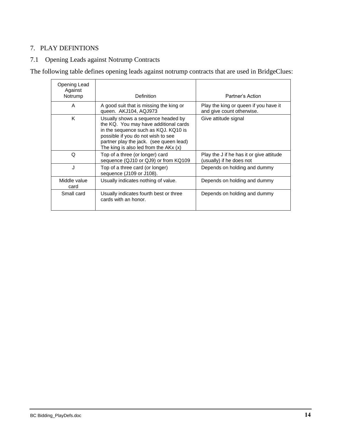## 7. PLAY DEFINTIONS

## 7.1 Opening Leads against Notrump Contracts

The following table defines opening leads against notrump contracts that are used in BridgeClues:

| Opening Lead<br>Against<br>Notrump | <b>Definition</b>                                                                                                                                                                                                                              | Partner's Action                                                     |
|------------------------------------|------------------------------------------------------------------------------------------------------------------------------------------------------------------------------------------------------------------------------------------------|----------------------------------------------------------------------|
| A                                  | A good suit that is missing the king or<br>queen. AKJ104, AQJ973                                                                                                                                                                               | Play the king or queen if you have it<br>and give count otherwise.   |
| K                                  | Usually shows a sequence headed by<br>the KQ. You may have additional cards<br>in the sequence such as KQJ. KQ10 is<br>possible if you do not wish to see<br>partner play the jack. (see queen lead)<br>The king is also led from the $AKx(x)$ | Give attitude signal                                                 |
| Q                                  | Top of a three (or longer) card<br>sequence (QJ10 or QJ9) or from KQ109                                                                                                                                                                        | Play the J if he has it or give attitude<br>(usually) if he does not |
| J                                  | Top of a three card (or longer)<br>sequence (J109 or J108).                                                                                                                                                                                    | Depends on holding and dummy                                         |
| Middle value<br>card               | Usually indicates nothing of value.                                                                                                                                                                                                            | Depends on holding and dummy                                         |
| Small card                         | Usually indicates fourth best or three<br>cards with an honor.                                                                                                                                                                                 | Depends on holding and dummy                                         |